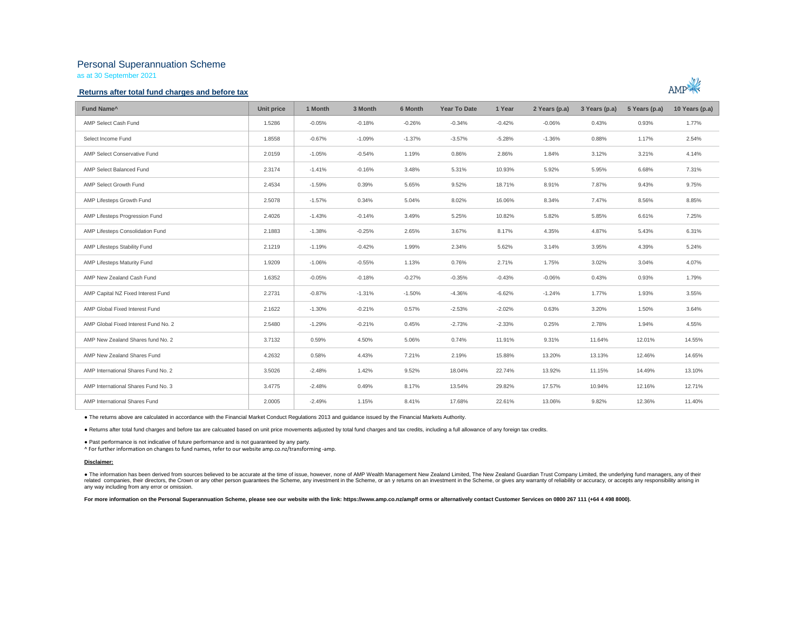# Personal Superannuation Scheme

as at 30 September 2021

## **Returns after total fund charges and before tax**



| Fund Name <sup>^</sup>               | Unit price | 1 Month  | 3 Month  | 6 Month  | <b>Year To Date</b> | 1 Year   | 2 Years (p.a) | 3 Years (p.a) | 5 Years (p.a) | 10 Years (p.a) |
|--------------------------------------|------------|----------|----------|----------|---------------------|----------|---------------|---------------|---------------|----------------|
| AMP Select Cash Fund                 | 1.5286     | $-0.05%$ | $-0.18%$ | $-0.26%$ | $-0.34%$            | $-0.42%$ | $-0.06%$      | 0.43%         | 0.93%         | 1.77%          |
| Select Income Fund                   | 1.8558     | $-0.67%$ | $-1.09%$ | $-1.37%$ | $-3.57%$            | $-5.28%$ | $-1.36%$      | 0.88%         | 1.17%         | 2.54%          |
| AMP Select Conservative Fund         | 2.0159     | $-1.05%$ | $-0.54%$ | 1.19%    | 0.86%               | 2.86%    | 1.84%         | 3.12%         | 3.21%         | 4.14%          |
| AMP Select Balanced Fund             | 2.3174     | $-1.41%$ | $-0.16%$ | 3.48%    | 5.31%               | 10.93%   | 5.92%         | 5.95%         | 6.68%         | 7.31%          |
| AMP Select Growth Fund               | 2.4534     | $-1.59%$ | 0.39%    | 5.65%    | 9.52%               | 18.71%   | 8.91%         | 7.87%         | 9.43%         | 9.75%          |
| AMP Lifesteps Growth Fund            | 2.5078     | $-1.57%$ | 0.34%    | 5.04%    | 8.02%               | 16.06%   | 8.34%         | 7.47%         | 8.56%         | 8.85%          |
| AMP Lifesteps Progression Fund       | 2.4026     | $-1.43%$ | $-0.14%$ | 3.49%    | 5.25%               | 10.82%   | 5.82%         | 5.85%         | 6.61%         | 7.25%          |
| AMP Lifesteps Consolidation Fund     | 2.1883     | $-1.38%$ | $-0.25%$ | 2.65%    | 3.67%               | 8.17%    | 4.35%         | 4.87%         | 5.43%         | 6.31%          |
| AMP Lifesteps Stability Fund         | 2.1219     | $-1.19%$ | $-0.42%$ | 1.99%    | 2.34%               | 5.62%    | 3.14%         | 3.95%         | 4.39%         | 5.24%          |
| AMP Lifesteps Maturity Fund          | 1.9209     | $-1.06%$ | $-0.55%$ | 1.13%    | 0.76%               | 2.71%    | 1.75%         | 3.02%         | 3.04%         | 4.07%          |
| AMP New Zealand Cash Fund            | 1.6352     | $-0.05%$ | $-0.18%$ | $-0.27%$ | $-0.35%$            | $-0.43%$ | $-0.06%$      | 0.43%         | 0.93%         | 1.79%          |
| AMP Capital NZ Fixed Interest Fund   | 2.2731     | $-0.87%$ | $-1.31%$ | $-1.50%$ | $-4.36%$            | $-6.62%$ | $-1.24%$      | 1.77%         | 1.93%         | 3.55%          |
| AMP Global Fixed Interest Fund       | 2.1622     | $-1.30%$ | $-0.21%$ | 0.57%    | $-2.53%$            | $-2.02%$ | 0.63%         | 3.20%         | 1.50%         | 3.64%          |
| AMP Global Fixed Interest Fund No. 2 | 2.5480     | $-1.29%$ | $-0.21%$ | 0.45%    | $-2.73%$            | $-2.33%$ | 0.25%         | 2.78%         | 1.94%         | 4.55%          |
| AMP New Zealand Shares fund No. 2    | 3.7132     | 0.59%    | 4.50%    | 5.06%    | 0.74%               | 11.91%   | 9.31%         | 11.64%        | 12.01%        | 14.55%         |
| AMP New Zealand Shares Fund          | 4.2632     | 0.58%    | 4.43%    | 7.21%    | 2.19%               | 15.88%   | 13.20%        | 13.13%        | 12.46%        | 14.65%         |
| AMP International Shares Fund No. 2  | 3.5026     | $-2.48%$ | 1.42%    | 9.52%    | 18.04%              | 22.74%   | 13.92%        | 11.15%        | 14.49%        | 13.10%         |
| AMP International Shares Fund No. 3  | 3.4775     | $-2.48%$ | 0.49%    | 8.17%    | 13.54%              | 29.82%   | 17.57%        | 10.94%        | 12.16%        | 12.71%         |
| AMP International Shares Fund        | 2.0005     | $-2.49%$ | 1.15%    | 8.41%    | 17.68%              | 22.61%   | 13.06%        | 9.82%         | 12.36%        | 11.40%         |

● The returns above are calculated in accordance with the Financial Market Conduct Regulations 2013 and guidance issued by the Financial Markets Authority.

● Returns after total fund charges and before tax are calcuated based on unit price movements adjusted by total fund charges and tax credits, including a full allowance of any foreign tax credits.

● Past performance is not indicative of future performance and is not guaranteed by any party.

^ For further information on changes to fund names, refer to our website amp.co.nz/transforming -amp.

#### **Disclaimer:**

. The information has been derived from sources believed to be accurate at the time of issue, however, none of AMP Wealth Management New Zealand Limited, The New Zealand Guardian Trust Company Limited, the underlying fund related companies, their directors, the Crown or any other person guarantees the Scheme, any investment in the Scheme, or any returns on an investment in the Scheme, or gives any varranty of reliability or accuracy, or acc any way including from any error or omission.

For more information on the Personal Superannuation Scheme, please see our website with the link: https://www.amp.co.nz/amp/f orms or alternatively contact Customer Services on 0800 267 111 (+64 4 498 8000).